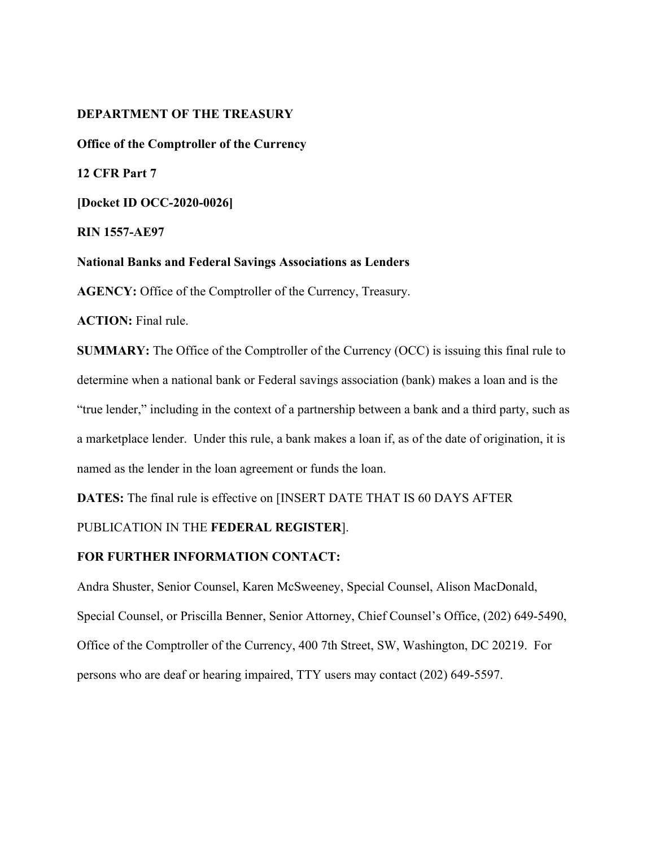## **DEPARTMENT OF THE TREASURY**

**Office of the Comptroller of the Currency**

**12 CFR Part 7** 

**[Docket ID OCC-2020-0026]** 

**RIN 1557-AE97**

**National Banks and Federal Savings Associations as Lenders** 

**AGENCY:** Office of the Comptroller of the Currency, Treasury.

**ACTION:** Final rule.

**SUMMARY:** The Office of the Comptroller of the Currency (OCC) is issuing this final rule to determine when a national bank or Federal savings association (bank) makes a loan and is the "true lender," including in the context of a partnership between a bank and a third party, such as a marketplace lender. Under this rule, a bank makes a loan if, as of the date of origination, it is named as the lender in the loan agreement or funds the loan.

**DATES:** The final rule is effective on [INSERT DATE THAT IS 60 DAYS AFTER

# PUBLICATION IN THE **FEDERAL REGISTER**].

## **FOR FURTHER INFORMATION CONTACT:**

Andra Shuster, Senior Counsel, Karen McSweeney, Special Counsel, Alison MacDonald, Special Counsel, or Priscilla Benner, Senior Attorney, Chief Counsel's Office, (202) 649-5490, Office of the Comptroller of the Currency, 400 7th Street, SW, Washington, DC 20219. For persons who are deaf or hearing impaired, TTY users may contact (202) 649-5597.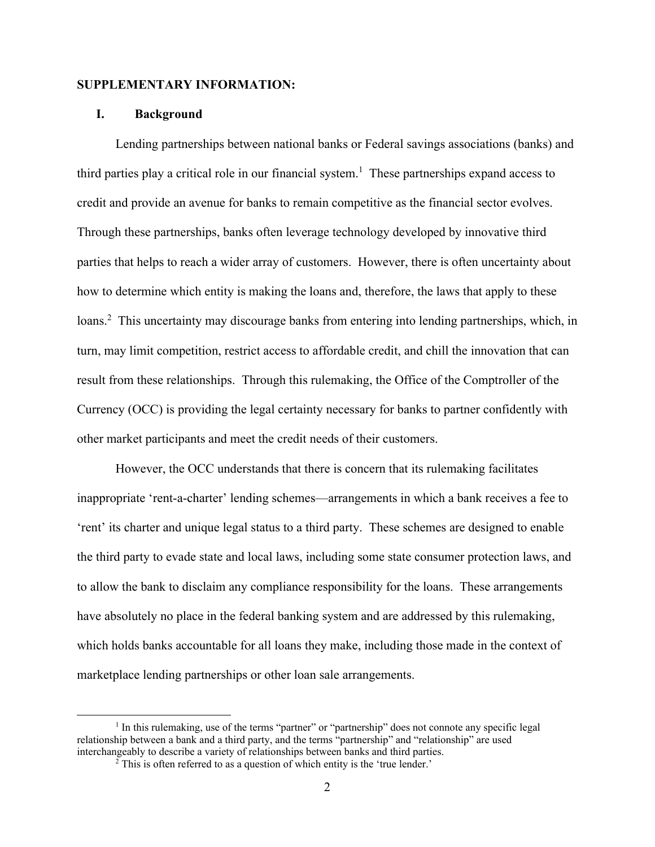## **SUPPLEMENTARY INFORMATION:**

## **I. Background**

Lending partnerships between national banks or Federal savings associations (banks) and third parties play a critical role in our financial system. 1 These partnerships expand access to credit and provide an avenue for banks to remain competitive as the financial sector evolves. Through these partnerships, banks often leverage technology developed by innovative third parties that helps to reach a wider array of customers. However, there is often uncertainty about how to determine which entity is making the loans and, therefore, the laws that apply to these loans.<sup>2</sup> This uncertainty may discourage banks from entering into lending partnerships, which, in turn, may limit competition, restrict access to affordable credit, and chill the innovation that can result from these relationships. Through this rulemaking, the Office of the Comptroller of the Currency (OCC) is providing the legal certainty necessary for banks to partner confidently with other market participants and meet the credit needs of their customers.

However, the OCC understands that there is concern that its rulemaking facilitates inappropriate 'rent-a-charter' lending schemes—arrangements in which a bank receives a fee to 'rent' its charter and unique legal status to a third party. These schemes are designed to enable the third party to evade state and local laws, including some state consumer protection laws, and to allow the bank to disclaim any compliance responsibility for the loans. These arrangements have absolutely no place in the federal banking system and are addressed by this rulemaking, which holds banks accountable for all loans they make, including those made in the context of marketplace lending partnerships or other loan sale arrangements.

<sup>&</sup>lt;sup>1</sup> In this rulemaking, use of the terms "partner" or "partnership" does not connote any specific legal relationship between a bank and a third party, and the terms "partnership" and "relationship" are used interchangeably to describe a variety of relationships between banks and third parties.

 $2$  This is often referred to as a question of which entity is the 'true lender.'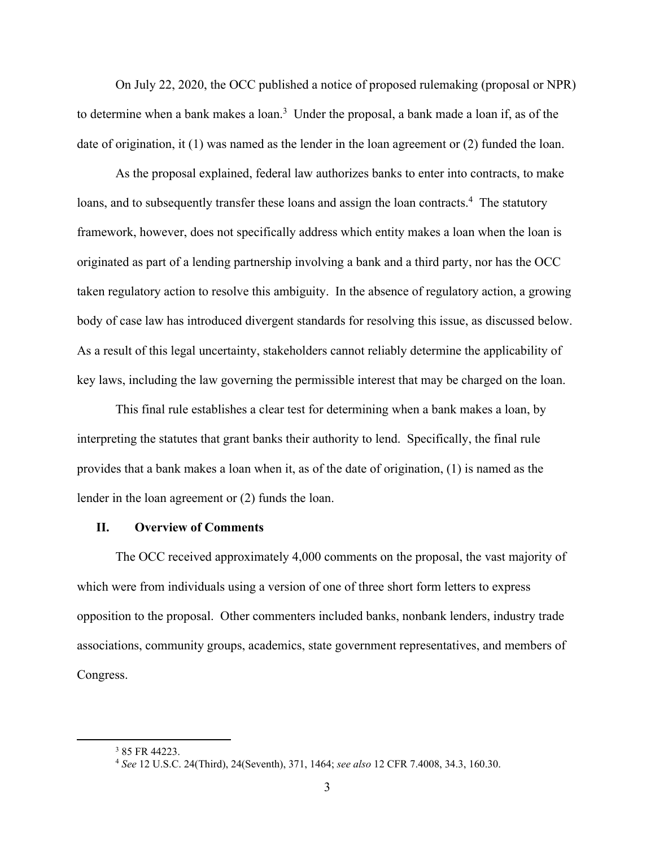On July 22, 2020, the OCC published a notice of proposed rulemaking (proposal or NPR) to determine when a bank makes a loan.<sup>3</sup> Under the proposal, a bank made a loan if, as of the date of origination, it (1) was named as the lender in the loan agreement or (2) funded the loan.

As the proposal explained, federal law authorizes banks to enter into contracts, to make loans, and to subsequently transfer these loans and assign the loan contracts.<sup>4</sup> The statutory framework, however, does not specifically address which entity makes a loan when the loan is originated as part of a lending partnership involving a bank and a third party, nor has the OCC taken regulatory action to resolve this ambiguity. In the absence of regulatory action, a growing body of case law has introduced divergent standards for resolving this issue, as discussed below. As a result of this legal uncertainty, stakeholders cannot reliably determine the applicability of key laws, including the law governing the permissible interest that may be charged on the loan.

This final rule establishes a clear test for determining when a bank makes a loan, by interpreting the statutes that grant banks their authority to lend. Specifically, the final rule provides that a bank makes a loan when it, as of the date of origination, (1) is named as the lender in the loan agreement or (2) funds the loan.

## **II. Overview of Comments**

The OCC received approximately 4,000 comments on the proposal, the vast majority of which were from individuals using a version of one of three short form letters to express opposition to the proposal. Other commenters included banks, nonbank lenders, industry trade associations, community groups, academics, state government representatives, and members of Congress.

<sup>3</sup> 85 FR 44223.

<sup>4</sup> *See* 12 U.S.C. 24(Third), 24(Seventh), 371, 1464; *see also* 12 CFR 7.4008, 34.3, 160.30.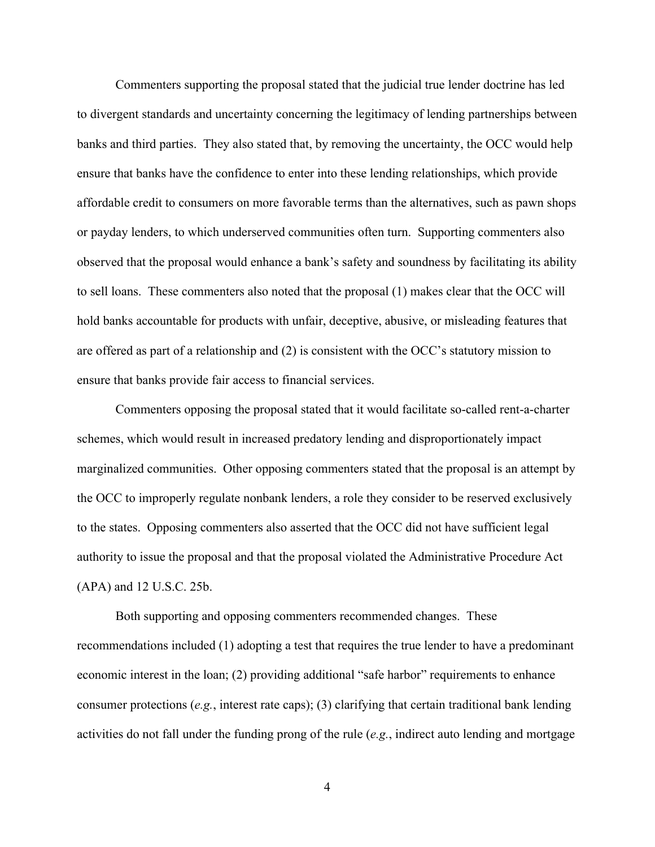Commenters supporting the proposal stated that the judicial true lender doctrine has led to divergent standards and uncertainty concerning the legitimacy of lending partnerships between banks and third parties. They also stated that, by removing the uncertainty, the OCC would help ensure that banks have the confidence to enter into these lending relationships, which provide affordable credit to consumers on more favorable terms than the alternatives, such as pawn shops or payday lenders, to which underserved communities often turn. Supporting commenters also observed that the proposal would enhance a bank's safety and soundness by facilitating its ability to sell loans. These commenters also noted that the proposal (1) makes clear that the OCC will hold banks accountable for products with unfair, deceptive, abusive, or misleading features that are offered as part of a relationship and (2) is consistent with the OCC's statutory mission to ensure that banks provide fair access to financial services.

Commenters opposing the proposal stated that it would facilitate so-called rent-a-charter schemes, which would result in increased predatory lending and disproportionately impact marginalized communities. Other opposing commenters stated that the proposal is an attempt by the OCC to improperly regulate nonbank lenders, a role they consider to be reserved exclusively to the states. Opposing commenters also asserted that the OCC did not have sufficient legal authority to issue the proposal and that the proposal violated the Administrative Procedure Act (APA) and 12 U.S.C. 25b.

Both supporting and opposing commenters recommended changes. These recommendations included (1) adopting a test that requires the true lender to have a predominant economic interest in the loan; (2) providing additional "safe harbor" requirements to enhance consumer protections (*e.g.*, interest rate caps); (3) clarifying that certain traditional bank lending activities do not fall under the funding prong of the rule (*e.g.*, indirect auto lending and mortgage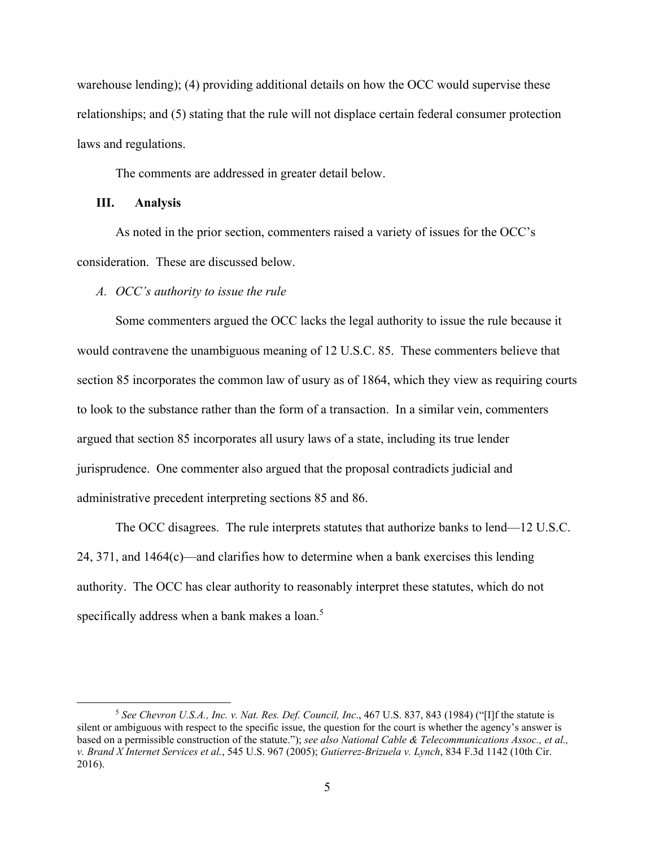warehouse lending); (4) providing additional details on how the OCC would supervise these relationships; and (5) stating that the rule will not displace certain federal consumer protection laws and regulations.

The comments are addressed in greater detail below.

# **III. Analysis**

As noted in the prior section, commenters raised a variety of issues for the OCC's consideration. These are discussed below.

## *A. OCC's authority to issue the rule*

Some commenters argued the OCC lacks the legal authority to issue the rule because it would contravene the unambiguous meaning of 12 U.S.C. 85. These commenters believe that section 85 incorporates the common law of usury as of 1864, which they view as requiring courts to look to the substance rather than the form of a transaction. In a similar vein, commenters argued that section 85 incorporates all usury laws of a state, including its true lender jurisprudence. One commenter also argued that the proposal contradicts judicial and administrative precedent interpreting sections 85 and 86.

The OCC disagrees. The rule interprets statutes that authorize banks to lend—12 U.S.C. 24, 371, and 1464(c)—and clarifies how to determine when a bank exercises this lending authority. The OCC has clear authority to reasonably interpret these statutes, which do not specifically address when a bank makes a loan.<sup>5</sup>

<sup>5</sup> *See Chevron U.S.A., Inc. v. Nat. Res. Def. Council, Inc*., 467 U.S. 837, 843 (1984) ("[I]f the statute is silent or ambiguous with respect to the specific issue, the question for the court is whether the agency's answer is based on a permissible construction of the statute."); *see also National Cable & Telecommunications Assoc., et al., v. Brand X Internet Services et al.*, 545 U.S. 967 (2005); *Gutierrez-Brizuela v. Lynch*, 834 F.3d 1142 (10th Cir. 2016).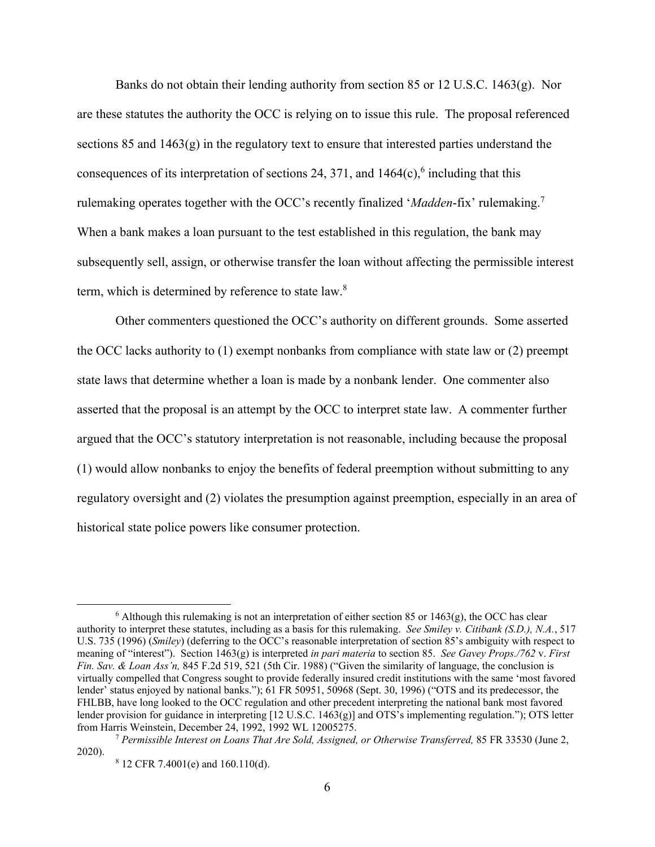Banks do not obtain their lending authority from section 85 or 12 U.S.C. 1463(g). Nor are these statutes the authority the OCC is relying on to issue this rule. The proposal referenced sections 85 and  $1463(g)$  in the regulatory text to ensure that interested parties understand the consequences of its interpretation of sections 24, 371, and  $1464(c)$ ,  $6$  including that this rulemaking operates together with the OCC's recently finalized '*Madden*-fix' rulemaking. 7 When a bank makes a loan pursuant to the test established in this regulation, the bank may subsequently sell, assign, or otherwise transfer the loan without affecting the permissible interest term, which is determined by reference to state law.<sup>8</sup>

Other commenters questioned the OCC's authority on different grounds. Some asserted the OCC lacks authority to (1) exempt nonbanks from compliance with state law or (2) preempt state laws that determine whether a loan is made by a nonbank lender. One commenter also asserted that the proposal is an attempt by the OCC to interpret state law. A commenter further argued that the OCC's statutory interpretation is not reasonable, including because the proposal (1) would allow nonbanks to enjoy the benefits of federal preemption without submitting to any regulatory oversight and (2) violates the presumption against preemption, especially in an area of historical state police powers like consumer protection.

 $6$  Although this rulemaking is not an interpretation of either section 85 or 1463(g), the OCC has clear authority to interpret these statutes, including as a basis for this rulemaking. *See Smiley v. Citibank (S.D.), N.A.*, 517 U.S. 735 (1996) (*Smiley*) (deferring to the OCC's reasonable interpretation of section 85's ambiguity with respect to meaning of "interest"). Section 1463(g) is interpreted *in pari materia* to section 85. *See Gavey Props./762* v. *First Fin. Sav. & Loan Ass'n,* 845 F.2d 519, 521 (5th Cir. 1988) ("Given the similarity of language, the conclusion is virtually compelled that Congress sought to provide federally insured credit institutions with the same 'most favored lender' status enjoyed by national banks."); 61 FR 50951, 50968 (Sept. 30, 1996) ("OTS and its predecessor, the FHLBB, have long looked to the OCC regulation and other precedent interpreting the national bank most favored lender provision for guidance in interpreting [12 U.S.C. 1463(g)] and OTS's implementing regulation."); OTS letter from Harris Weinstein, December 24, 1992, 1992 WL 12005275.

<sup>7</sup> *Permissible Interest on Loans That Are Sold, Assigned, or Otherwise Transferred,* 85 FR 33530 (June 2, 2020).

<sup>8</sup> 12 CFR 7.4001(e) and 160.110(d).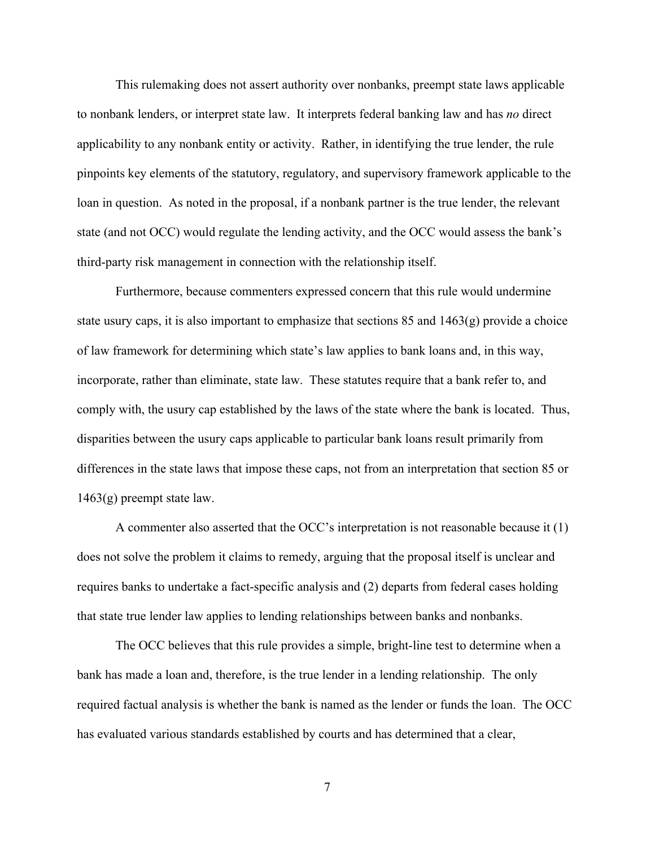This rulemaking does not assert authority over nonbanks, preempt state laws applicable to nonbank lenders, or interpret state law. It interprets federal banking law and has *no* direct applicability to any nonbank entity or activity. Rather, in identifying the true lender, the rule pinpoints key elements of the statutory, regulatory, and supervisory framework applicable to the loan in question. As noted in the proposal, if a nonbank partner is the true lender, the relevant state (and not OCC) would regulate the lending activity, and the OCC would assess the bank's third-party risk management in connection with the relationship itself.

Furthermore, because commenters expressed concern that this rule would undermine state usury caps, it is also important to emphasize that sections  $85$  and  $1463(g)$  provide a choice of law framework for determining which state's law applies to bank loans and, in this way, incorporate, rather than eliminate, state law. These statutes require that a bank refer to, and comply with, the usury cap established by the laws of the state where the bank is located. Thus, disparities between the usury caps applicable to particular bank loans result primarily from differences in the state laws that impose these caps, not from an interpretation that section 85 or 1463(g) preempt state law.

A commenter also asserted that the OCC's interpretation is not reasonable because it (1) does not solve the problem it claims to remedy, arguing that the proposal itself is unclear and requires banks to undertake a fact-specific analysis and (2) departs from federal cases holding that state true lender law applies to lending relationships between banks and nonbanks.

The OCC believes that this rule provides a simple, bright-line test to determine when a bank has made a loan and, therefore, is the true lender in a lending relationship. The only required factual analysis is whether the bank is named as the lender or funds the loan. The OCC has evaluated various standards established by courts and has determined that a clear,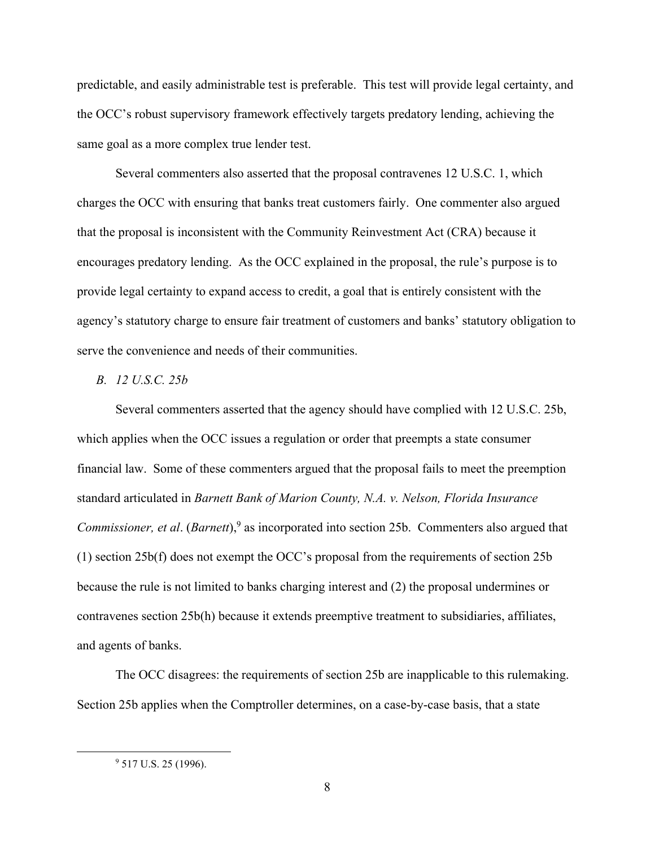predictable, and easily administrable test is preferable. This test will provide legal certainty, and the OCC's robust supervisory framework effectively targets predatory lending, achieving the same goal as a more complex true lender test.

Several commenters also asserted that the proposal contravenes 12 U.S.C. 1, which charges the OCC with ensuring that banks treat customers fairly. One commenter also argued that the proposal is inconsistent with the Community Reinvestment Act (CRA) because it encourages predatory lending. As the OCC explained in the proposal, the rule's purpose is to provide legal certainty to expand access to credit, a goal that is entirely consistent with the agency's statutory charge to ensure fair treatment of customers and banks' statutory obligation to serve the convenience and needs of their communities.

## *B. 12 U.S.C. 25b*

Several commenters asserted that the agency should have complied with 12 U.S.C. 25b, which applies when the OCC issues a regulation or order that preempts a state consumer financial law. Some of these commenters argued that the proposal fails to meet the preemption standard articulated in *Barnett Bank of Marion County, N.A. v. Nelson, Florida Insurance Commissioner, et al*. (*Barnett*), <sup>9</sup> as incorporated into section 25b. Commenters also argued that (1) section 25b(f) does not exempt the OCC's proposal from the requirements of section 25b because the rule is not limited to banks charging interest and (2) the proposal undermines or contravenes section 25b(h) because it extends preemptive treatment to subsidiaries, affiliates, and agents of banks.

The OCC disagrees: the requirements of section 25b are inapplicable to this rulemaking. Section 25b applies when the Comptroller determines, on a case-by-case basis, that a state

<sup>&</sup>lt;sup>9</sup> 517 U.S. 25 (1996).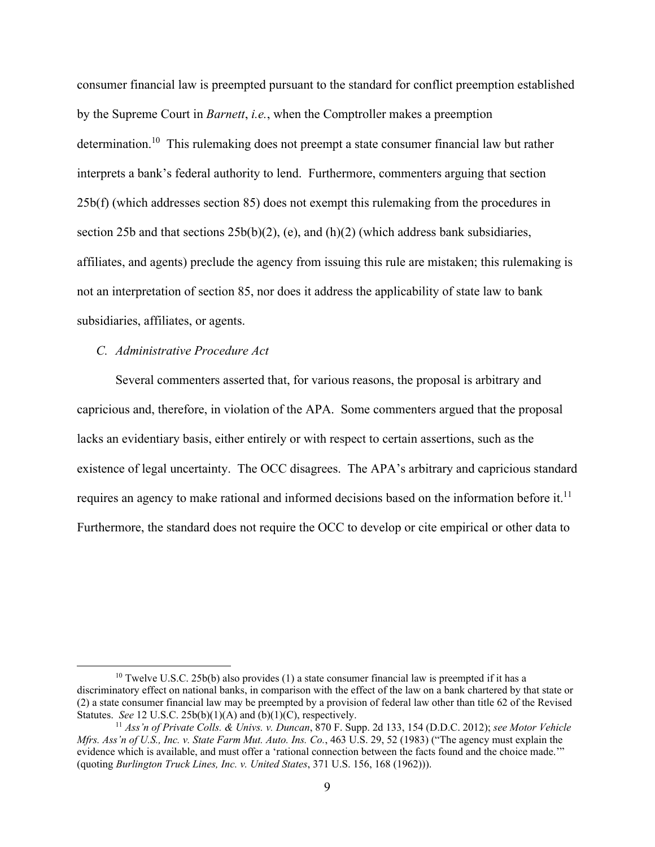consumer financial law is preempted pursuant to the standard for conflict preemption established by the Supreme Court in *Barnett*, *i.e.*, when the Comptroller makes a preemption determination.<sup>10</sup> This rulemaking does not preempt a state consumer financial law but rather interprets a bank's federal authority to lend. Furthermore, commenters arguing that section 25b(f) (which addresses section 85) does not exempt this rulemaking from the procedures in section 25b and that sections  $25b(b)(2)$ , (e), and (h)(2) (which address bank subsidiaries, affiliates, and agents) preclude the agency from issuing this rule are mistaken; this rulemaking is not an interpretation of section 85, nor does it address the applicability of state law to bank subsidiaries, affiliates, or agents.

#### *C. Administrative Procedure Act*

Several commenters asserted that, for various reasons, the proposal is arbitrary and capricious and, therefore, in violation of the APA. Some commenters argued that the proposal lacks an evidentiary basis, either entirely or with respect to certain assertions, such as the existence of legal uncertainty. The OCC disagrees. The APA's arbitrary and capricious standard requires an agency to make rational and informed decisions based on the information before it.<sup>11</sup> Furthermore, the standard does not require the OCC to develop or cite empirical or other data to

 $10$  Twelve U.S.C. 25b(b) also provides (1) a state consumer financial law is preempted if it has a discriminatory effect on national banks, in comparison with the effect of the law on a bank chartered by that state or (2) a state consumer financial law may be preempted by a provision of federal law other than title 62 of the Revised Statutes. *See* 12 U.S.C. 25b(b)(1)(A) and (b)(1)(C), respectively. 11 *Ass'n of Private Colls. & Univs. v. Duncan*, 870 F. Supp. 2d 133, 154 (D.D.C. 2012); *see Motor Vehicle* 

*Mfrs. Ass'n of U.S., Inc. v. State Farm Mut. Auto. Ins. Co.*, 463 U.S. 29, 52 (1983) ("The agency must explain the evidence which is available, and must offer a 'rational connection between the facts found and the choice made.'" (quoting *Burlington Truck Lines, Inc. v. United States*, 371 U.S. 156, 168 (1962))).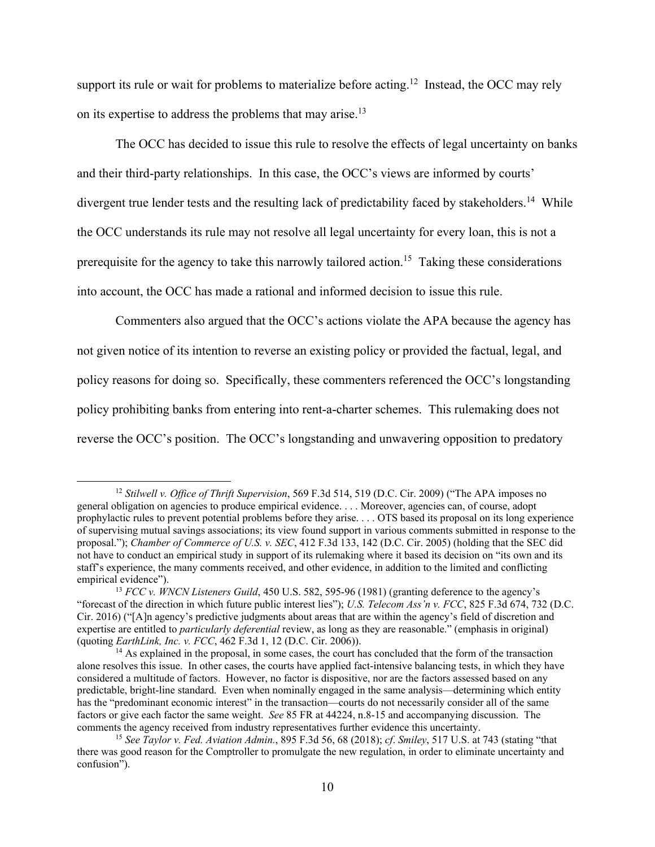support its rule or wait for problems to materialize before acting.<sup>12</sup> Instead, the OCC may rely on its expertise to address the problems that may arise.<sup>13</sup>

The OCC has decided to issue this rule to resolve the effects of legal uncertainty on banks and their third-party relationships. In this case, the OCC's views are informed by courts' divergent true lender tests and the resulting lack of predictability faced by stakeholders.<sup>14</sup> While the OCC understands its rule may not resolve all legal uncertainty for every loan, this is not a prerequisite for the agency to take this narrowly tailored action.<sup>15</sup> Taking these considerations into account, the OCC has made a rational and informed decision to issue this rule.

Commenters also argued that the OCC's actions violate the APA because the agency has not given notice of its intention to reverse an existing policy or provided the factual, legal, and policy reasons for doing so. Specifically, these commenters referenced the OCC's longstanding policy prohibiting banks from entering into rent-a-charter schemes. This rulemaking does not reverse the OCC's position. The OCC's longstanding and unwavering opposition to predatory

<sup>12</sup> *Stilwell v. Office of Thrift Supervision*, 569 F.3d 514, 519 (D.C. Cir. 2009) ("The APA imposes no general obligation on agencies to produce empirical evidence. . . . Moreover, agencies can, of course, adopt prophylactic rules to prevent potential problems before they arise. . . . OTS based its proposal on its long experience of supervising mutual savings associations; its view found support in various comments submitted in response to the proposal."); *Chamber of Commerce of U.S. v. SEC*, 412 F.3d 133, 142 (D.C. Cir. 2005) (holding that the SEC did not have to conduct an empirical study in support of its rulemaking where it based its decision on "its own and its staff's experience, the many comments received, and other evidence, in addition to the limited and conflicting empirical evidence").

<sup>13</sup> *FCC v. WNCN Listeners Guild*, 450 U.S. 582, 595-96 (1981) (granting deference to the agency's "forecast of the direction in which future public interest lies"); *U.S. Telecom Ass'n v. FCC*, 825 F.3d 674, 732 (D.C. Cir. 2016) ("[A]n agency's predictive judgments about areas that are within the agency's field of discretion and expertise are entitled to *particularly deferential* review, as long as they are reasonable." (emphasis in original) (quoting *EarthLink, Inc. v. FCC*, 462 F.3d 1, 12 (D.C. Cir. 2006)).

<sup>&</sup>lt;sup>14</sup> As explained in the proposal, in some cases, the court has concluded that the form of the transaction alone resolves this issue. In other cases, the courts have applied fact-intensive balancing tests, in which they have considered a multitude of factors. However, no factor is dispositive, nor are the factors assessed based on any predictable, bright-line standard. Even when nominally engaged in the same analysis—determining which entity has the "predominant economic interest" in the transaction—courts do not necessarily consider all of the same factors or give each factor the same weight. *See* 85 FR at 44224, n.8-15 and accompanying discussion. The comments the agency received from industry representatives further evidence this uncertainty.

<sup>15</sup> *See Taylor v. Fed. Aviation Admin.*, 895 F.3d 56, 68 (2018); *cf*. *Smiley*, 517 U.S. at 743 (stating "that there was good reason for the Comptroller to promulgate the new regulation, in order to eliminate uncertainty and confusion").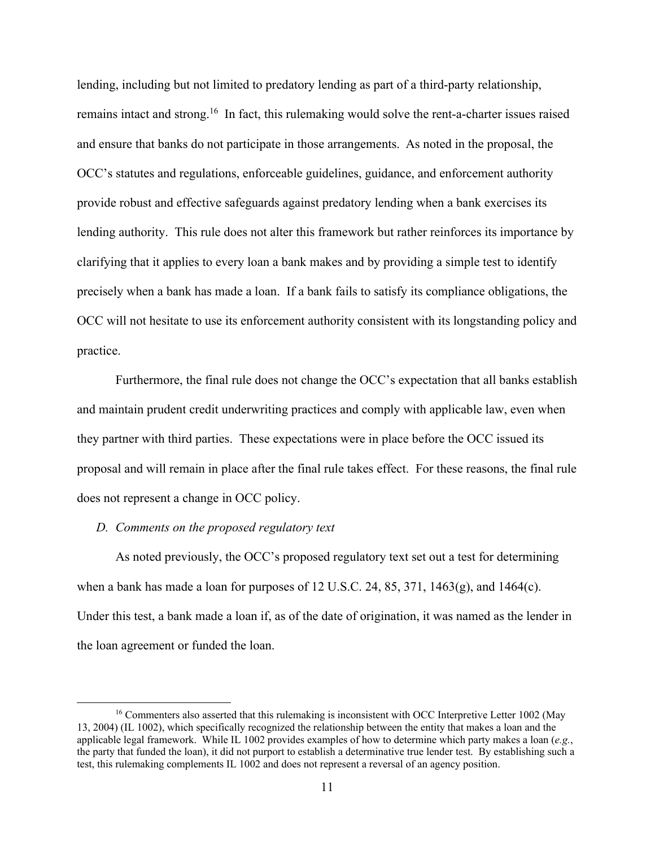lending, including but not limited to predatory lending as part of a third-party relationship, remains intact and strong.<sup>16</sup> In fact, this rulemaking would solve the rent-a-charter issues raised and ensure that banks do not participate in those arrangements. As noted in the proposal, the OCC's statutes and regulations, enforceable guidelines, guidance, and enforcement authority provide robust and effective safeguards against predatory lending when a bank exercises its lending authority. This rule does not alter this framework but rather reinforces its importance by clarifying that it applies to every loan a bank makes and by providing a simple test to identify precisely when a bank has made a loan. If a bank fails to satisfy its compliance obligations, the OCC will not hesitate to use its enforcement authority consistent with its longstanding policy and practice.

Furthermore, the final rule does not change the OCC's expectation that all banks establish and maintain prudent credit underwriting practices and comply with applicable law, even when they partner with third parties. These expectations were in place before the OCC issued its proposal and will remain in place after the final rule takes effect. For these reasons, the final rule does not represent a change in OCC policy.

#### *D. Comments on the proposed regulatory text*

As noted previously, the OCC's proposed regulatory text set out a test for determining when a bank has made a loan for purposes of 12 U.S.C. 24, 85, 371, 1463 $(g)$ , and 1464 $(c)$ . Under this test, a bank made a loan if, as of the date of origination, it was named as the lender in the loan agreement or funded the loan.

<sup>&</sup>lt;sup>16</sup> Commenters also asserted that this rulemaking is inconsistent with OCC Interpretive Letter 1002 (May 13, 2004) (IL 1002), which specifically recognized the relationship between the entity that makes a loan and the applicable legal framework. While IL 1002 provides examples of how to determine which party makes a loan (*e.g.*, the party that funded the loan), it did not purport to establish a determinative true lender test. By establishing such a test, this rulemaking complements IL 1002 and does not represent a reversal of an agency position.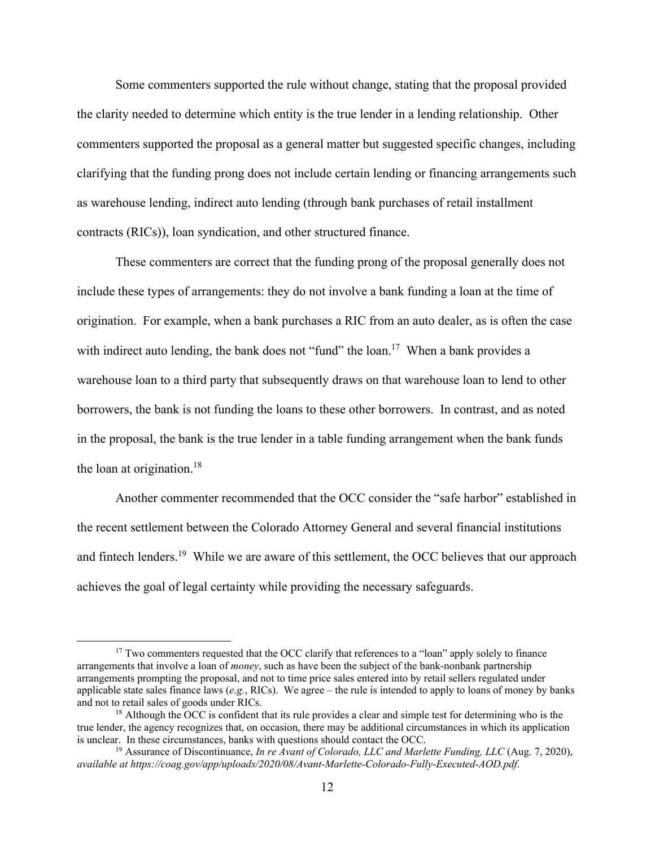Some commenters supported the rule without change, stating that the proposal provided the clarity needed to determine which entity is the true lender in a lending relationship. Other commenters supported the proposal as a general matter but suggested specific changes, including clarifying that the funding prong does not include certain lending or financing arrangements such as warehouse lending, indirect auto lending (through bank purchases of retail installment contracts (RICs)), loan syndication, and other structured finance.

These commenters are correct that the funding prong of the proposal generally does not include these types of arrangements: they do not involve a bank funding a loan at the time of origination. For example, when a bank purchases a RIC from an auto dealer, as is often the case with indirect auto lending, the bank does not "fund" the loan.<sup>17</sup> When a bank provides a warehouse loan to a third party that subsequently draws on that warehouse loan to lend to other borrowers, the bank is not funding the loans to these other borrowers. In contrast, and as noted in the proposal, the bank is the true lender in a table funding arrangement when the bank funds the loan at origination. 18

Another commenter recommended that the OCC consider the "safe harbor" established in the recent settlement between the Colorado Attorney General and several financial institutions and fintech lenders.<sup>19</sup> While we are aware of this settlement, the OCC believes that our approach achieves the goal of legal certainty while providing the necessary safeguards.

<sup>&</sup>lt;sup>17</sup> Two commenters requested that the OCC clarify that references to a "loan" apply solely to finance arrangements that involve a loan of *money*, such as have been the subject of the bank-nonbank partnership arrangements prompting the proposal, and not to time price sales entered into by retail sellers regulated under applicable state sales finance laws (*e.g.*, RICs). We agree – the rule is intended to apply to loans of money by banks and not to retail sales of goods under RICs.

<sup>&</sup>lt;sup>18</sup> Although the OCC is confident that its rule provides a clear and simple test for determining who is the true lender, the agency recognizes that, on occasion, there may be additional circumstances in which its application is unclear. In these circumstances, banks with questions should contact the OCC.

<sup>19</sup> Assurance of Discontinuance, *In re Avant of Colorado, LLC and Marlette Funding, LLC* (Aug. 7, 2020), *available at https://coag.gov/app/uploads/2020/08/Avant-Marlette-Colorado-Fully-Executed-AOD.pdf*.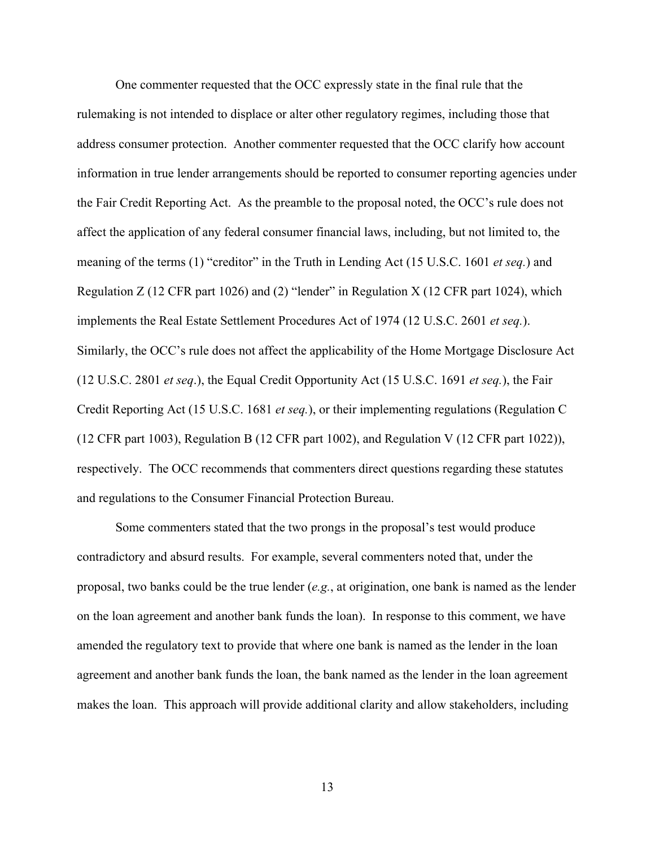One commenter requested that the OCC expressly state in the final rule that the rulemaking is not intended to displace or alter other regulatory regimes, including those that address consumer protection. Another commenter requested that the OCC clarify how account information in true lender arrangements should be reported to consumer reporting agencies under the Fair Credit Reporting Act. As the preamble to the proposal noted, the OCC's rule does not affect the application of any federal consumer financial laws, including, but not limited to, the meaning of the terms (1) "creditor" in the Truth in Lending Act (15 U.S.C. 1601 *et seq.*) and Regulation Z (12 CFR part 1026) and (2) "lender" in Regulation X (12 CFR part 1024), which implements the Real Estate Settlement Procedures Act of 1974 (12 U.S.C. 2601 *et seq.*). Similarly, the OCC's rule does not affect the applicability of the Home Mortgage Disclosure Act (12 U.S.C. 2801 *et seq*.), the Equal Credit Opportunity Act (15 U.S.C. 1691 *et seq.*), the Fair Credit Reporting Act (15 U.S.C. 1681 *et seq.*), or their implementing regulations (Regulation C (12 CFR part 1003), Regulation B (12 CFR part 1002), and Regulation V (12 CFR part 1022)), respectively. The OCC recommends that commenters direct questions regarding these statutes and regulations to the Consumer Financial Protection Bureau.

Some commenters stated that the two prongs in the proposal's test would produce contradictory and absurd results. For example, several commenters noted that, under the proposal, two banks could be the true lender (*e.g.*, at origination, one bank is named as the lender on the loan agreement and another bank funds the loan). In response to this comment, we have amended the regulatory text to provide that where one bank is named as the lender in the loan agreement and another bank funds the loan, the bank named as the lender in the loan agreement makes the loan. This approach will provide additional clarity and allow stakeholders, including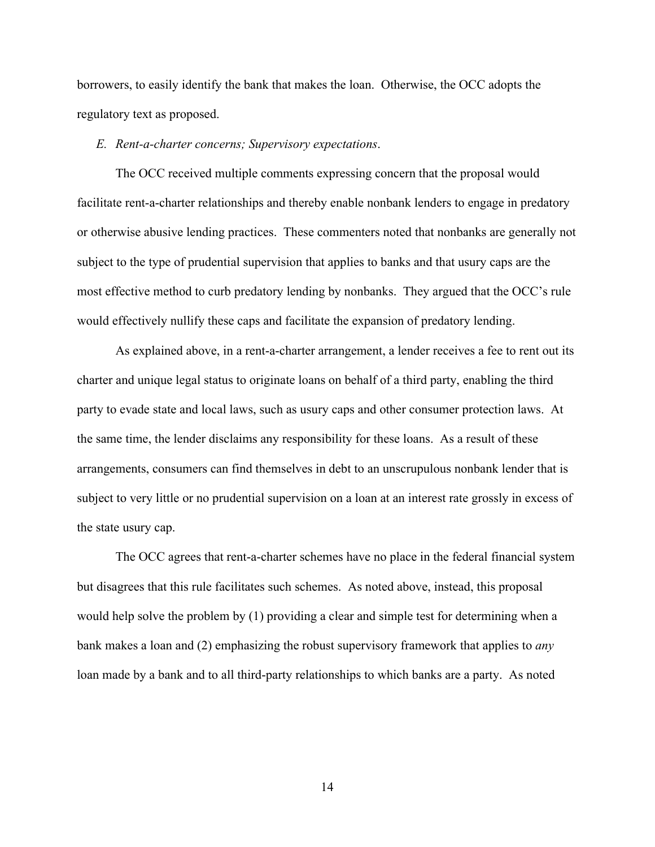borrowers, to easily identify the bank that makes the loan. Otherwise, the OCC adopts the regulatory text as proposed.

*E. Rent-a-charter concerns; Supervisory expectations*.

The OCC received multiple comments expressing concern that the proposal would facilitate rent-a-charter relationships and thereby enable nonbank lenders to engage in predatory or otherwise abusive lending practices. These commenters noted that nonbanks are generally not subject to the type of prudential supervision that applies to banks and that usury caps are the most effective method to curb predatory lending by nonbanks. They argued that the OCC's rule would effectively nullify these caps and facilitate the expansion of predatory lending.

As explained above, in a rent-a-charter arrangement, a lender receives a fee to rent out its charter and unique legal status to originate loans on behalf of a third party, enabling the third party to evade state and local laws, such as usury caps and other consumer protection laws. At the same time, the lender disclaims any responsibility for these loans. As a result of these arrangements, consumers can find themselves in debt to an unscrupulous nonbank lender that is subject to very little or no prudential supervision on a loan at an interest rate grossly in excess of the state usury cap.

The OCC agrees that rent-a-charter schemes have no place in the federal financial system but disagrees that this rule facilitates such schemes. As noted above, instead, this proposal would help solve the problem by (1) providing a clear and simple test for determining when a bank makes a loan and (2) emphasizing the robust supervisory framework that applies to *any* loan made by a bank and to all third-party relationships to which banks are a party. As noted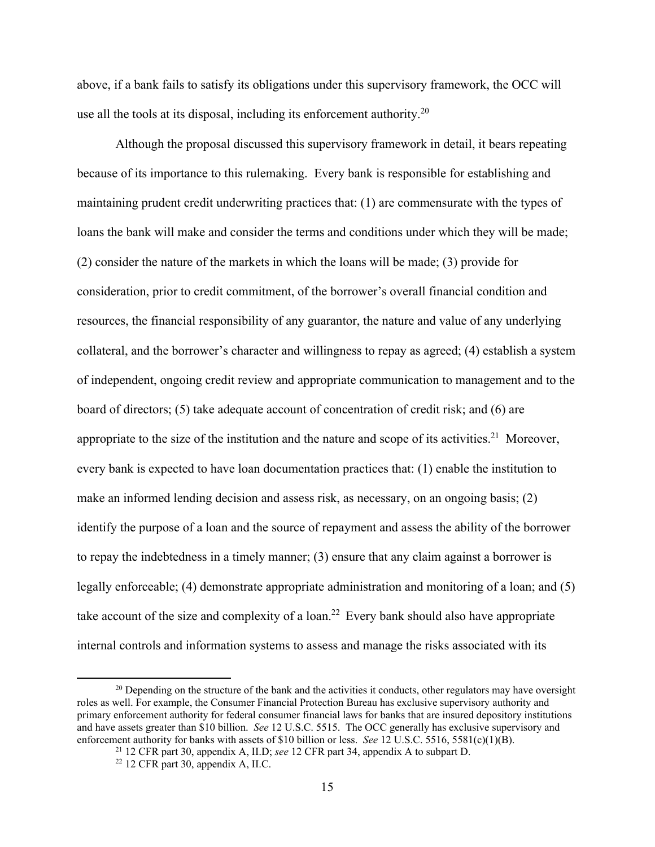above, if a bank fails to satisfy its obligations under this supervisory framework, the OCC will use all the tools at its disposal, including its enforcement authority.<sup>20</sup>

Although the proposal discussed this supervisory framework in detail, it bears repeating because of its importance to this rulemaking. Every bank is responsible for establishing and maintaining prudent credit underwriting practices that: (1) are commensurate with the types of loans the bank will make and consider the terms and conditions under which they will be made; (2) consider the nature of the markets in which the loans will be made; (3) provide for consideration, prior to credit commitment, of the borrower's overall financial condition and resources, the financial responsibility of any guarantor, the nature and value of any underlying collateral, and the borrower's character and willingness to repay as agreed; (4) establish a system of independent, ongoing credit review and appropriate communication to management and to the board of directors; (5) take adequate account of concentration of credit risk; and (6) are appropriate to the size of the institution and the nature and scope of its activities.<sup>21</sup> Moreover, every bank is expected to have loan documentation practices that: (1) enable the institution to make an informed lending decision and assess risk, as necessary, on an ongoing basis; (2) identify the purpose of a loan and the source of repayment and assess the ability of the borrower to repay the indebtedness in a timely manner; (3) ensure that any claim against a borrower is legally enforceable; (4) demonstrate appropriate administration and monitoring of a loan; and (5) take account of the size and complexity of a loan.<sup>22</sup> Every bank should also have appropriate internal controls and information systems to assess and manage the risks associated with its

<sup>&</sup>lt;sup>20</sup> Depending on the structure of the bank and the activities it conducts, other regulators may have oversight roles as well. For example, the Consumer Financial Protection Bureau has exclusive supervisory authority and primary enforcement authority for federal consumer financial laws for banks that are insured depository institutions and have assets greater than \$10 billion. *See* 12 U.S.C. 5515. The OCC generally has exclusive supervisory and enforcement authority for banks with assets of \$10 billion or less. *See* 12 U.S.C. 5516, 5581(c)(1)(B).

<sup>21</sup> 12 CFR part 30, appendix A, II.D; *see* 12 CFR part 34, appendix A to subpart D.

 $22$  12 CFR part 30, appendix A, II.C.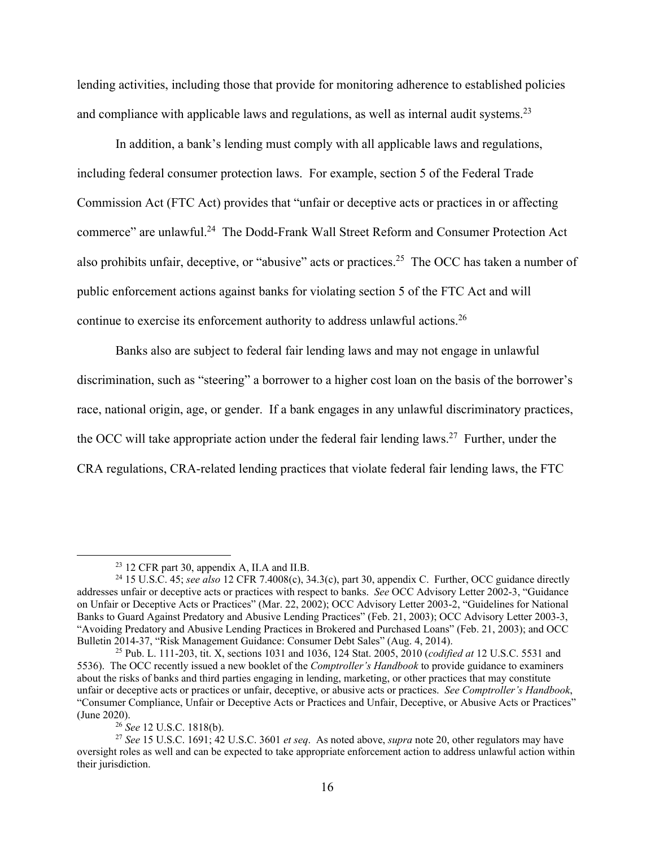lending activities, including those that provide for monitoring adherence to established policies and compliance with applicable laws and regulations, as well as internal audit systems.<sup>23</sup>

In addition, a bank's lending must comply with all applicable laws and regulations, including federal consumer protection laws. For example, section 5 of the Federal Trade Commission Act (FTC Act) provides that "unfair or deceptive acts or practices in or affecting commerce" are unlawful.24 The Dodd-Frank Wall Street Reform and Consumer Protection Act also prohibits unfair, deceptive, or "abusive" acts or practices.<sup>25</sup> The OCC has taken a number of public enforcement actions against banks for violating section 5 of the FTC Act and will continue to exercise its enforcement authority to address unlawful actions.<sup>26</sup>

Banks also are subject to federal fair lending laws and may not engage in unlawful discrimination, such as "steering" a borrower to a higher cost loan on the basis of the borrower's race, national origin, age, or gender. If a bank engages in any unlawful discriminatory practices, the OCC will take appropriate action under the federal fair lending laws.<sup>27</sup> Further, under the CRA regulations, CRA-related lending practices that violate federal fair lending laws, the FTC

 $23$  12 CFR part 30, appendix A, II.A and II.B.

<sup>24</sup> 15 U.S.C. 45; *see also* 12 CFR 7.4008(c), 34.3(c), part 30, appendix C. Further, OCC guidance directly addresses unfair or deceptive acts or practices with respect to banks. *See* OCC Advisory Letter 2002-3, "Guidance on Unfair or Deceptive Acts or Practices" (Mar. 22, 2002); OCC Advisory Letter 2003-2, "Guidelines for National Banks to Guard Against Predatory and Abusive Lending Practices" (Feb. 21, 2003); OCC Advisory Letter 2003-3, "Avoiding Predatory and Abusive Lending Practices in Brokered and Purchased Loans" (Feb. 21, 2003); and OCC Bulletin 2014-37, "Risk Management Guidance: Consumer Debt Sales" (Aug. 4, 2014).

<sup>25</sup> Pub. L. 111-203, tit. X, sections 1031 and 1036, 124 Stat. 2005, 2010 (*codified at* 12 U.S.C. 5531 and 5536). The OCC recently issued a new booklet of the *Comptroller's Handbook* to provide guidance to examiners about the risks of banks and third parties engaging in lending, marketing, or other practices that may constitute unfair or deceptive acts or practices or unfair, deceptive, or abusive acts or practices. *See Comptroller's Handbook*, "Consumer Compliance, Unfair or Deceptive Acts or Practices and Unfair, Deceptive, or Abusive Acts or Practices" (June 2020).

<sup>26</sup> *See* 12 U.S.C. 1818(b).

<sup>27</sup> *See* 15 U.S.C. 1691; 42 U.S.C. 3601 *et seq*. As noted above, *supra* note 20, other regulators may have oversight roles as well and can be expected to take appropriate enforcement action to address unlawful action within their jurisdiction.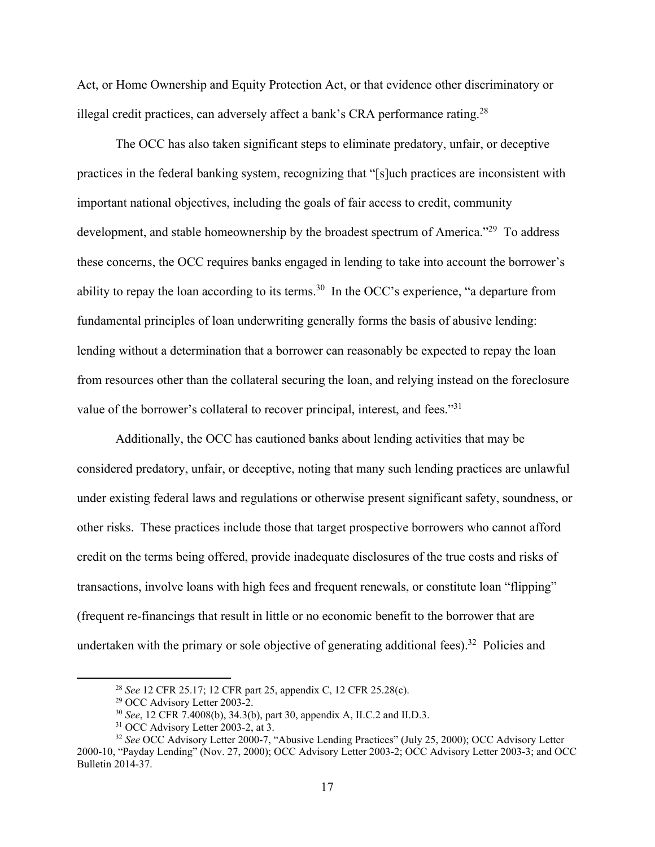Act, or Home Ownership and Equity Protection Act, or that evidence other discriminatory or illegal credit practices, can adversely affect a bank's CRA performance rating.<sup>28</sup>

The OCC has also taken significant steps to eliminate predatory, unfair, or deceptive practices in the federal banking system, recognizing that "[s]uch practices are inconsistent with important national objectives, including the goals of fair access to credit, community development, and stable homeownership by the broadest spectrum of America."<sup>29</sup> To address these concerns, the OCC requires banks engaged in lending to take into account the borrower's ability to repay the loan according to its terms.<sup>30</sup> In the OCC's experience, "a departure from fundamental principles of loan underwriting generally forms the basis of abusive lending: lending without a determination that a borrower can reasonably be expected to repay the loan from resources other than the collateral securing the loan, and relying instead on the foreclosure value of the borrower's collateral to recover principal, interest, and fees."<sup>31</sup>

Additionally, the OCC has cautioned banks about lending activities that may be considered predatory, unfair, or deceptive, noting that many such lending practices are unlawful under existing federal laws and regulations or otherwise present significant safety, soundness, or other risks. These practices include those that target prospective borrowers who cannot afford credit on the terms being offered, provide inadequate disclosures of the true costs and risks of transactions, involve loans with high fees and frequent renewals, or constitute loan "flipping" (frequent re-financings that result in little or no economic benefit to the borrower that are undertaken with the primary or sole objective of generating additional fees).<sup>32</sup> Policies and

<sup>28</sup> *See* 12 CFR 25.17; 12 CFR part 25, appendix C, 12 CFR 25.28(c).

<sup>29</sup> OCC Advisory Letter 2003-2.

<sup>30</sup> *See*, 12 CFR 7.4008(b), 34.3(b), part 30, appendix A, II.C.2 and II.D.3.

<sup>&</sup>lt;sup>31</sup> OCC Advisory Letter 2003-2, at 3.

<sup>32</sup> *See* OCC Advisory Letter 2000-7, "Abusive Lending Practices" (July 25, 2000); OCC Advisory Letter 2000-10, "Payday Lending" (Nov. 27, 2000); OCC Advisory Letter 2003-2; OCC Advisory Letter 2003-3; and OCC Bulletin 2014-37.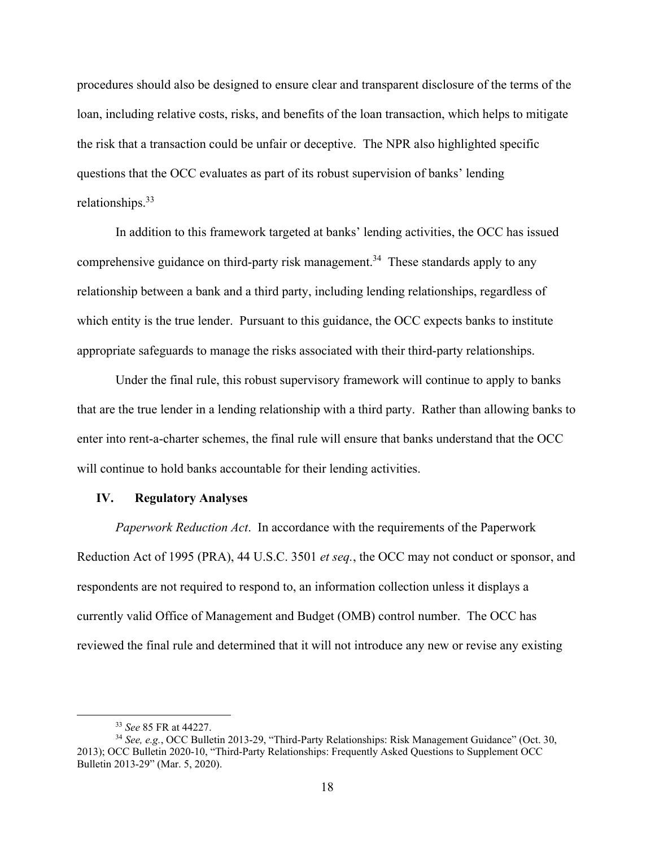procedures should also be designed to ensure clear and transparent disclosure of the terms of the loan, including relative costs, risks, and benefits of the loan transaction, which helps to mitigate the risk that a transaction could be unfair or deceptive. The NPR also highlighted specific questions that the OCC evaluates as part of its robust supervision of banks' lending relationships.33

In addition to this framework targeted at banks' lending activities, the OCC has issued comprehensive guidance on third-party risk management.<sup>34</sup> These standards apply to any relationship between a bank and a third party, including lending relationships, regardless of which entity is the true lender. Pursuant to this guidance, the OCC expects banks to institute appropriate safeguards to manage the risks associated with their third-party relationships.

Under the final rule, this robust supervisory framework will continue to apply to banks that are the true lender in a lending relationship with a third party. Rather than allowing banks to enter into rent-a-charter schemes, the final rule will ensure that banks understand that the OCC will continue to hold banks accountable for their lending activities.

## **IV. Regulatory Analyses**

*Paperwork Reduction Act*.In accordance with the requirements of the Paperwork Reduction Act of 1995 (PRA), 44 U.S.C. 3501 *et seq.*, the OCC may not conduct or sponsor, and respondents are not required to respond to, an information collection unless it displays a currently valid Office of Management and Budget (OMB) control number. The OCC has reviewed the final rule and determined that it will not introduce any new or revise any existing

<sup>33</sup> *See* 85 FR at 44227.

<sup>34</sup> *See, e.g.*, OCC Bulletin 2013-29, "Third-Party Relationships: Risk Management Guidance" (Oct. 30, 2013); OCC Bulletin 2020-10, "Third-Party Relationships: Frequently Asked Questions to Supplement OCC Bulletin 2013-29" (Mar. 5, 2020).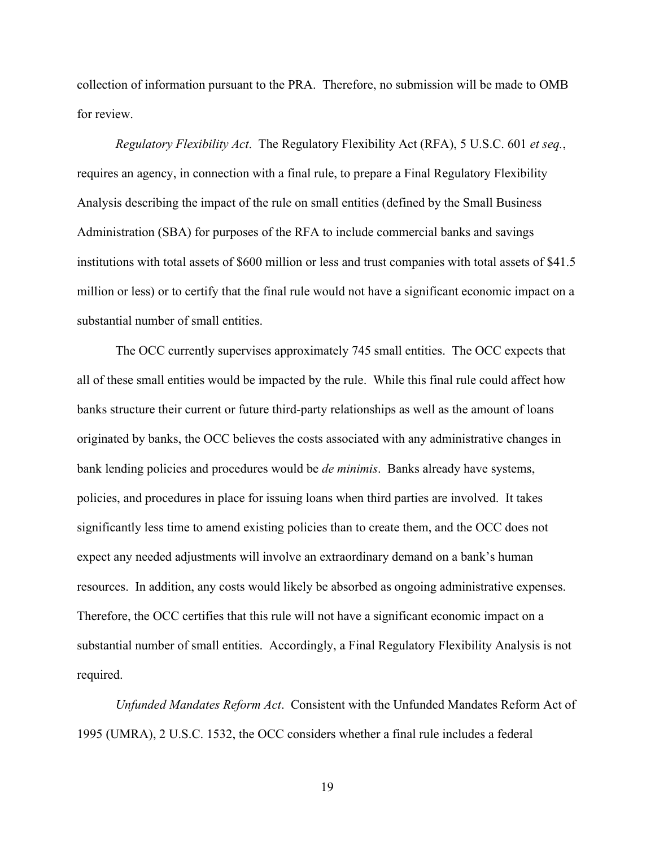collection of information pursuant to the PRA. Therefore, no submission will be made to OMB for review.

*Regulatory Flexibility Act*.The Regulatory Flexibility Act (RFA), 5 U.S.C. 601 *et seq.*, requires an agency, in connection with a final rule, to prepare a Final Regulatory Flexibility Analysis describing the impact of the rule on small entities (defined by the Small Business Administration (SBA) for purposes of the RFA to include commercial banks and savings institutions with total assets of \$600 million or less and trust companies with total assets of \$41.5 million or less) or to certify that the final rule would not have a significant economic impact on a substantial number of small entities.

The OCC currently supervises approximately 745 small entities. The OCC expects that all of these small entities would be impacted by the rule. While this final rule could affect how banks structure their current or future third-party relationships as well as the amount of loans originated by banks, the OCC believes the costs associated with any administrative changes in bank lending policies and procedures would be *de minimis*. Banks already have systems, policies, and procedures in place for issuing loans when third parties are involved. It takes significantly less time to amend existing policies than to create them, and the OCC does not expect any needed adjustments will involve an extraordinary demand on a bank's human resources. In addition, any costs would likely be absorbed as ongoing administrative expenses. Therefore, the OCC certifies that this rule will not have a significant economic impact on a substantial number of small entities. Accordingly, a Final Regulatory Flexibility Analysis is not required.

*Unfunded Mandates Reform Act*.Consistent with the Unfunded Mandates Reform Act of 1995 (UMRA), 2 U.S.C. 1532, the OCC considers whether a final rule includes a federal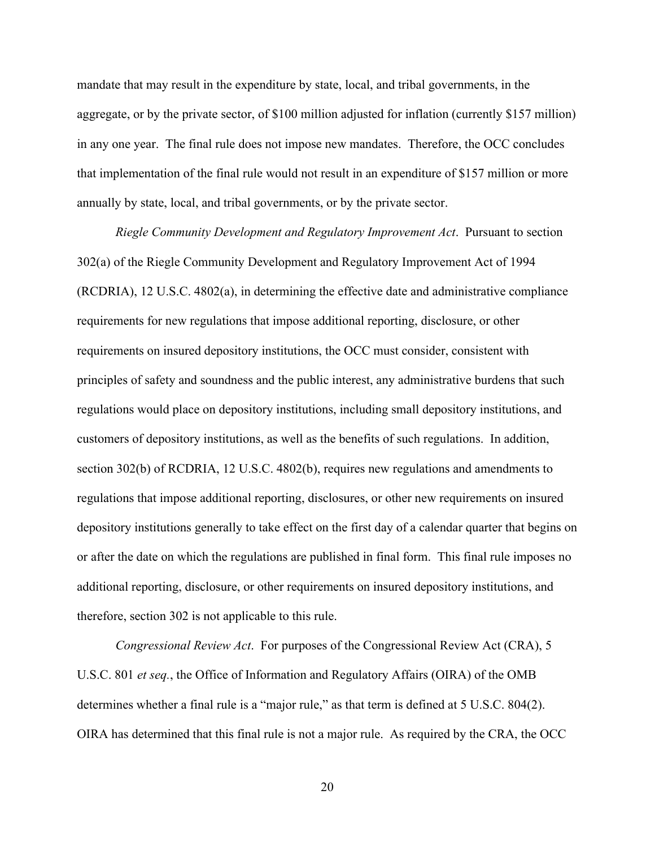mandate that may result in the expenditure by state, local, and tribal governments, in the aggregate, or by the private sector, of \$100 million adjusted for inflation (currently \$157 million) in any one year. The final rule does not impose new mandates. Therefore, the OCC concludes that implementation of the final rule would not result in an expenditure of \$157 million or more annually by state, local, and tribal governments, or by the private sector.

*Riegle Community Development and Regulatory Improvement Act*. Pursuant to section 302(a) of the Riegle Community Development and Regulatory Improvement Act of 1994 (RCDRIA), 12 U.S.C. 4802(a), in determining the effective date and administrative compliance requirements for new regulations that impose additional reporting, disclosure, or other requirements on insured depository institutions, the OCC must consider, consistent with principles of safety and soundness and the public interest, any administrative burdens that such regulations would place on depository institutions, including small depository institutions, and customers of depository institutions, as well as the benefits of such regulations. In addition, section 302(b) of RCDRIA, 12 U.S.C. 4802(b), requires new regulations and amendments to regulations that impose additional reporting, disclosures, or other new requirements on insured depository institutions generally to take effect on the first day of a calendar quarter that begins on or after the date on which the regulations are published in final form. This final rule imposes no additional reporting, disclosure, or other requirements on insured depository institutions, and therefore, section 302 is not applicable to this rule.

*Congressional Review Act*. For purposes of the Congressional Review Act (CRA), 5 U.S.C. 801 *et seq.*, the Office of Information and Regulatory Affairs (OIRA) of the OMB determines whether a final rule is a "major rule," as that term is defined at 5 U.S.C. 804(2). OIRA has determined that this final rule is not a major rule. As required by the CRA, the OCC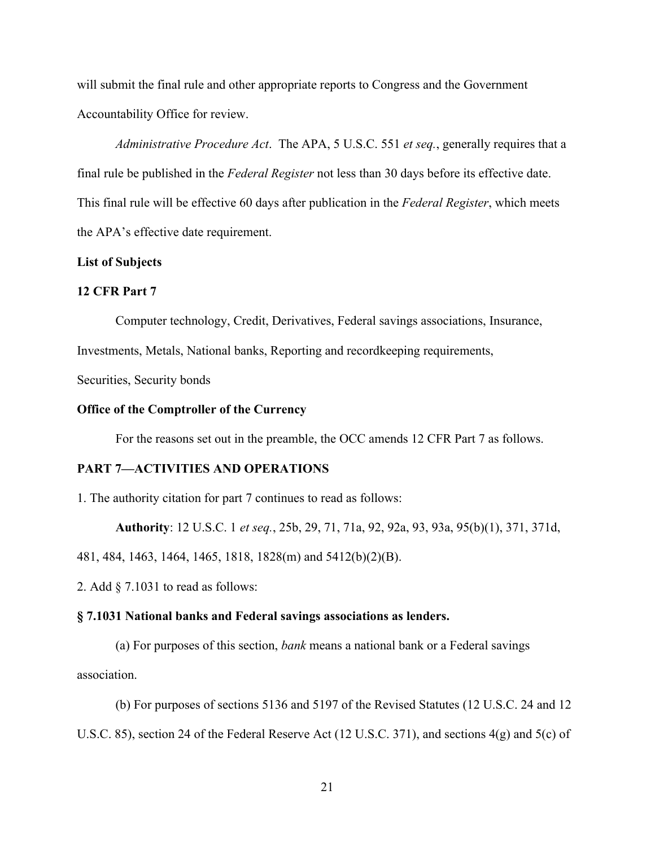will submit the final rule and other appropriate reports to Congress and the Government Accountability Office for review.

*Administrative Procedure Act*. The APA, 5 U.S.C. 551 *et seq.*, generally requires that a final rule be published in the *Federal Register* not less than 30 days before its effective date. This final rule will be effective 60 days after publication in the *Federal Register*, which meets the APA's effective date requirement.

## **List of Subjects**

## **12 CFR Part 7**

Computer technology, Credit, Derivatives, Federal savings associations, Insurance,

Investments, Metals, National banks, Reporting and recordkeeping requirements,

Securities, Security bonds

## **Office of the Comptroller of the Currency**

For the reasons set out in the preamble, the OCC amends 12 CFR Part 7 as follows.

## **PART 7—ACTIVITIES AND OPERATIONS**

1. The authority citation for part 7 continues to read as follows:

**Authority**: 12 U.S.C. 1 *et seq.*, 25b, 29, 71, 71a, 92, 92a, 93, 93a, 95(b)(1), 371, 371d,

481, 484, 1463, 1464, 1465, 1818, 1828(m) and 5412(b)(2)(B).

2. Add § 7.1031 to read as follows:

#### **§ 7.1031 National banks and Federal savings associations as lenders.**

(a) For purposes of this section, *bank* means a national bank or a Federal savings association.

(b) For purposes of sections 5136 and 5197 of the Revised Statutes (12 U.S.C. 24 and 12 U.S.C. 85), section 24 of the Federal Reserve Act (12 U.S.C. 371), and sections 4(g) and 5(c) of